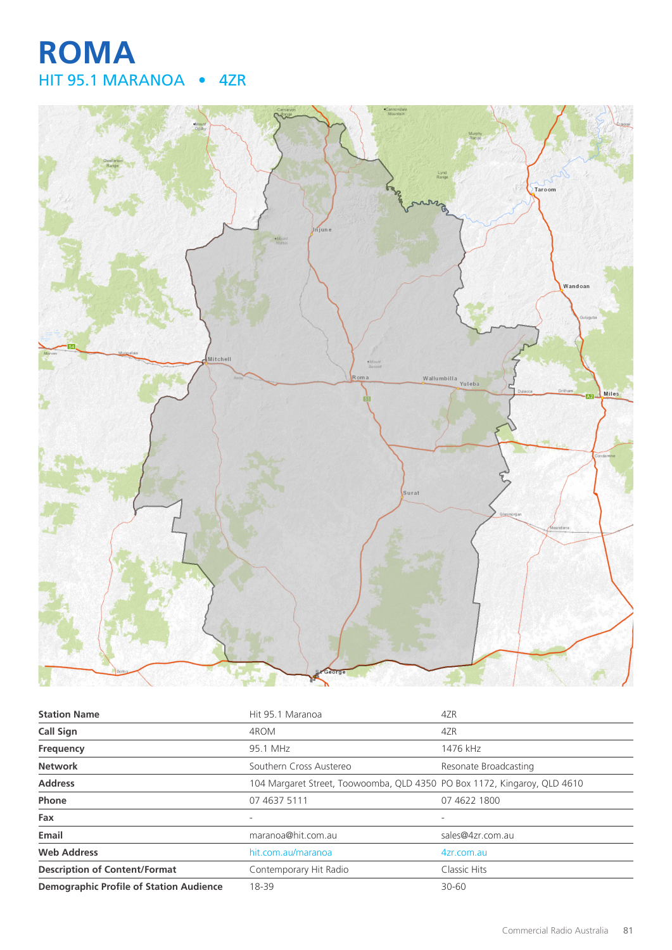# **ROMA** HIT 95.1 MARANOA • 4ZR



| <b>Station Name</b>                            | Hit 95.1 Maranoa                                                         | 4ZR                   |
|------------------------------------------------|--------------------------------------------------------------------------|-----------------------|
| <b>Call Sign</b>                               | 4ROM                                                                     | 4ZR                   |
| Frequency                                      | 95.1 MHz                                                                 | 1476 kHz              |
| <b>Network</b>                                 | Southern Cross Austereo                                                  | Resonate Broadcasting |
| <b>Address</b>                                 | 104 Margaret Street, Toowoomba, QLD 4350 PO Box 1172, Kingaroy, QLD 4610 |                       |
| Phone                                          | 07 4637 5111                                                             | 07 4622 1800          |
| Fax                                            |                                                                          |                       |
| Email                                          | maranoa@hit.com.au                                                       | sales@4zr.com.au      |
| <b>Web Address</b>                             | hit.com.au/maranoa                                                       | 4zr.com.au            |
| <b>Description of Content/Format</b>           | Contemporary Hit Radio                                                   | Classic Hits          |
| <b>Demographic Profile of Station Audience</b> | 18-39                                                                    | $30 - 60$             |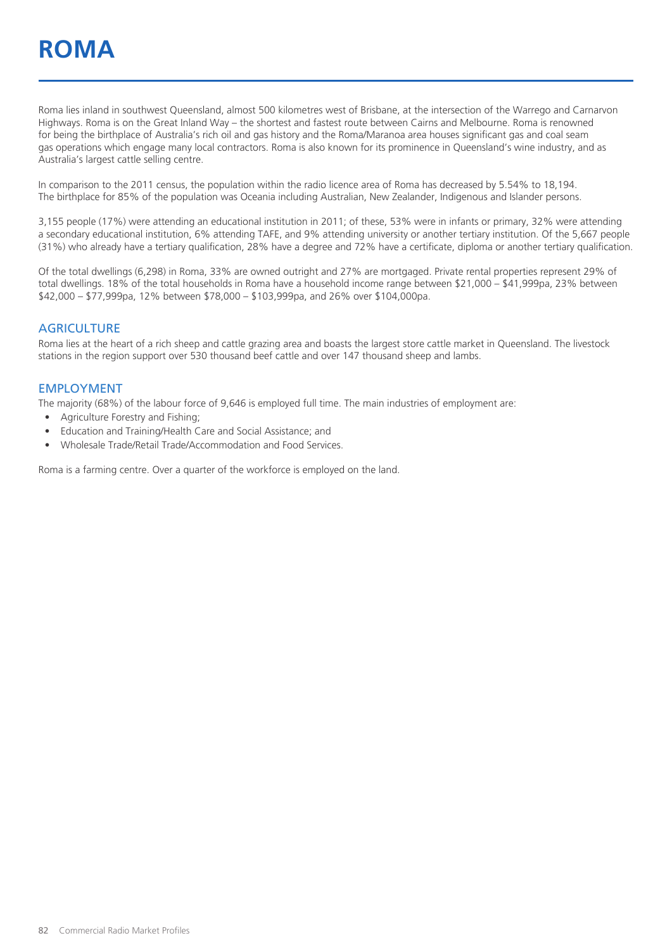Roma lies inland in southwest Queensland, almost 500 kilometres west of Brisbane, at the intersection of the Warrego and Carnarvon Highways. Roma is on the Great Inland Way – the shortest and fastest route between Cairns and Melbourne. Roma is renowned for being the birthplace of Australia's rich oil and gas history and the Roma/Maranoa area houses significant gas and coal seam gas operations which engage many local contractors. Roma is also known for its prominence in Queensland's wine industry, and as Australia's largest cattle selling centre.

In comparison to the 2011 census, the population within the radio licence area of Roma has decreased by 5.54% to 18,194. The birthplace for 85% of the population was Oceania including Australian, New Zealander, Indigenous and Islander persons.

3,155 people (17%) were attending an educational institution in 2011; of these, 53% were in infants or primary, 32% were attending a secondary educational institution, 6% attending TAFE, and 9% attending university or another tertiary institution. Of the 5,667 people (31%) who already have a tertiary qualification, 28% have a degree and 72% have a certificate, diploma or another tertiary qualification.

Of the total dwellings (6,298) in Roma, 33% are owned outright and 27% are mortgaged. Private rental properties represent 29% of total dwellings. 18% of the total households in Roma have a household income range between \$21,000 – \$41,999pa, 23% between \$42,000 – \$77,999pa, 12% between \$78,000 – \$103,999pa, and 26% over \$104,000pa.

#### **AGRICULTURE**

Roma lies at the heart of a rich sheep and cattle grazing area and boasts the largest store cattle market in Queensland. The livestock stations in the region support over 530 thousand beef cattle and over 147 thousand sheep and lambs.

#### EMPLOYMENT

The majority (68%) of the labour force of 9,646 is employed full time. The main industries of employment are:

- Agriculture Forestry and Fishing;
- Education and Training/Health Care and Social Assistance; and
- Wholesale Trade/Retail Trade/Accommodation and Food Services.

Roma is a farming centre. Over a quarter of the workforce is employed on the land.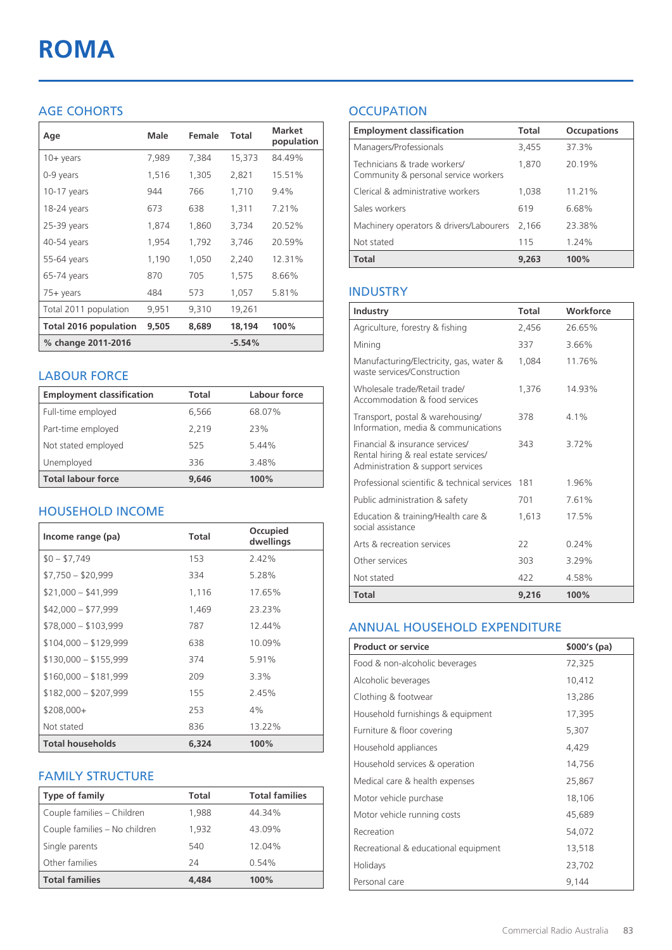# **ROMA**

### AGE COHORTS

| Age                          | Male  | Female | Total    | <b>Market</b><br>population |
|------------------------------|-------|--------|----------|-----------------------------|
| $10 + \gamma$ ears           | 7,989 | 7,384  | 15,373   | 84.49%                      |
| 0-9 years                    | 1,516 | 1,305  | 2,821    | 15.51%                      |
| $10-17$ years                | 944   | 766    | 1,710    | 9.4%                        |
| 18-24 years                  | 673   | 638    | 1,311    | 7.21%                       |
| 25-39 years                  | 1,874 | 1,860  | 3,734    | 20.52%                      |
| 40-54 years                  | 1,954 | 1,792  | 3,746    | 20.59%                      |
| 55-64 years                  | 1,190 | 1,050  | 2,240    | 12.31%                      |
| 65-74 years                  | 870   | 705    | 1.575    | 8.66%                       |
| $75+$ years                  | 484   | 573    | 1,057    | 5.81%                       |
| Total 2011 population        | 9,951 | 9,310  | 19,261   |                             |
| <b>Total 2016 population</b> | 9,505 | 8,689  | 18,194   | 100%                        |
| % change 2011-2016           |       |        | $-5.54%$ |                             |

#### LABOUR FORCE

| <b>Employment classification</b> | Total | Labour force |
|----------------------------------|-------|--------------|
| Full-time employed               | 6,566 | 68.07%       |
| Part-time employed               | 2.219 | 23%          |
| Not stated employed              | 525   | 5.44%        |
| Unemployed                       | 336   | 3.48%        |
| <b>Total labour force</b>        | 9.646 | 100%         |

#### HOUSEHOLD INCOME

| Income range (pa)       | <b>Total</b> | Occupied<br>dwellings |
|-------------------------|--------------|-----------------------|
| $$0 - $7.749$           | 153          | $2.42\%$              |
| $$7,750 - $20,999$      | 334          | 5.28%                 |
| $$21,000 - $41,999$     | 1,116        | 17.65%                |
| $$42,000 - $77,999$     | 1,469        | 23.23%                |
| $$78,000 - $103,999$    | 787          | 12.44%                |
| $$104,000 - $129,999$   | 638          | 10.09%                |
| $$130,000 - $155,999$   | 374          | 5.91%                 |
| $$160,000 - $181,999$   | 209          | $3.3\%$               |
| $$182,000 - $207,999$   | 155          | 2.45%                 |
| \$208,000+              | 253          | 4%                    |
| Not stated              | 836          | 13.22%                |
| <b>Total households</b> | 6,324        | 100%                  |

#### FAMILY STRUCTURE

| <b>Type of family</b>         | Total | <b>Total families</b> |
|-------------------------------|-------|-----------------------|
| Couple families - Children    | 1,988 | 44.34%                |
| Couple families - No children | 1,932 | 43.09%                |
| Single parents                | 540   | 12.04%                |
| Other families                | 24    | 0.54%                 |
| <b>Total families</b>         | 4,484 | 100%                  |

## **OCCUPATION**

| <b>Employment classification</b>                                     | <b>Total</b> | <b>Occupations</b> |
|----------------------------------------------------------------------|--------------|--------------------|
| Managers/Professionals                                               | 3,455        | 37.3%              |
| Technicians & trade workers/<br>Community & personal service workers | 1,870        | 20.19%             |
| Clerical & administrative workers                                    | 1,038        | 11.21%             |
| Sales workers                                                        | 619          | 6.68%              |
| Machinery operators & drivers/Labourers                              | 2.166        | 23.38%             |
| Not stated                                                           | 115          | 1.24%              |
| <b>Total</b>                                                         | 9,263        | 100%               |

#### INDUSTRY

| Industry                                                                                                      | Total | Workforce |
|---------------------------------------------------------------------------------------------------------------|-------|-----------|
| Agriculture, forestry & fishing                                                                               | 2,456 | 26.65%    |
| Mining                                                                                                        | 337   | 3.66%     |
| Manufacturing/Electricity, gas, water &<br>waste services/Construction                                        | 1.084 | 11.76%    |
| Wholesale trade/Retail trade/<br>Accommodation & food services                                                | 1.376 | 14.93%    |
| Transport, postal & warehousing/<br>Information, media & communications                                       | 378   | $4.1\%$   |
| Financial & insurance services/<br>Rental hiring & real estate services/<br>Administration & support services | 343   | 3.72%     |
| Professional scientific & technical services                                                                  | 181   | 1.96%     |
| Public administration & safety                                                                                | 701   | 7.61%     |
| Education & training/Health care &<br>social assistance                                                       | 1,613 | 17.5%     |
| Arts & recreation services                                                                                    | 22    | 0.24%     |
| Other services                                                                                                | 303   | 3.29%     |
| Not stated                                                                                                    | 422   | 4.58%     |
| Total                                                                                                         | 9,216 | 100%      |

#### ANNUAL HOUSEHOLD EXPENDITURE

| <b>Product or service</b>            | $$000's$ (pa) |
|--------------------------------------|---------------|
| Food & non-alcoholic beverages       | 72,325        |
| Alcoholic beverages                  | 10,412        |
| Clothing & footwear                  | 13,286        |
| Household furnishings & equipment    | 17,395        |
| Furniture & floor covering           | 5,307         |
| Household appliances                 | 4,429         |
| Household services & operation       | 14,756        |
| Medical care & health expenses       | 25,867        |
| Motor vehicle purchase               | 18,106        |
| Motor vehicle running costs          | 45,689        |
| Recreation                           | 54,072        |
| Recreational & educational equipment | 13,518        |
| Holidays                             | 23,702        |
| Personal care                        | 9,144         |